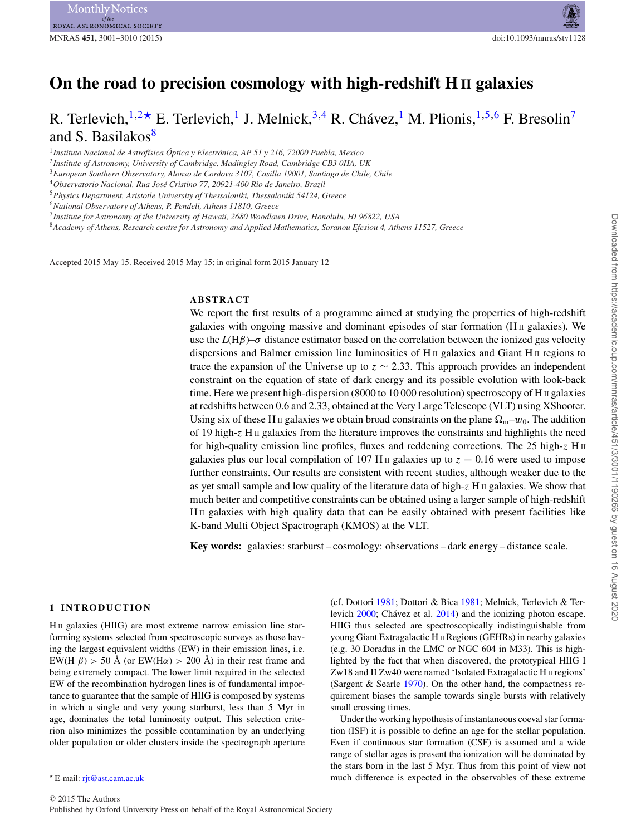# **On the road to precision cosmology with high-redshift H II galaxies**

# R. Terlevich, $1,2\star$  $1,2\star$  $1,2\star$  E. Terlevich,<sup>[1](#page-0-0)</sup> J. Melnick,<sup>[3,](#page-0-3)[4](#page-0-4)</sup> R. Chávez,<sup>1</sup> M. Plionis, $1,5,6$  $1,5,6$  $1,5,6$  F. Bresolin<sup>7</sup> and S. Basilakos $8$

<span id="page-0-0"></span><sup>1</sup>*Instituto Nacional de Astrof´ısica Optica y Electr ´ onica, AP 51 y 216, 72000 Puebla, Mexico ´*

<span id="page-0-1"></span><sup>2</sup>*Institute of Astronomy, University of Cambridge, Madingley Road, Cambridge CB3 0HA, UK*

<span id="page-0-3"></span><sup>3</sup>*European Southern Observatory, Alonso de Cordova 3107, Casilla 19001, Santiago de Chile, Chile*

<span id="page-0-6"></span><sup>6</sup>*National Observatory of Athens, P. Pendeli, Athens 11810, Greece*

<span id="page-0-7"></span><sup>7</sup>*Institute for Astronomy of the University of Hawaii, 2680 Woodlawn Drive, Honolulu, HI 96822, USA*

<span id="page-0-8"></span><sup>8</sup>*Academy of Athens, Research centre for Astronomy and Applied Mathematics, Soranou Efesiou 4, Athens 11527, Greece*

Accepted 2015 May 15. Received 2015 May 15; in original form 2015 January 12

## **ABSTRACT**

We report the first results of a programme aimed at studying the properties of high-redshift galaxies with ongoing massive and dominant episodes of star formation ( $\text{H\textsc{ii}}$  galaxies). We use the  $L(H\beta)$ – $\sigma$  distance estimator based on the correlation between the ionized gas velocity dispersions and Balmer emission line luminosities of H $\scriptstyle\rm II$  galaxies and Giant H $\scriptstyle\rm II$  regions to trace the expansion of the Universe up to  $z \sim 2.33$ . This approach provides an independent constraint on the equation of state of dark energy and its possible evolution with look-back time. Here we present high-dispersion (8000 to 10 000 resolution) spectroscopy of H  $\text{II}$  galaxies at redshifts between 0.6 and 2.33, obtained at the Very Large Telescope (VLT) using XShooter. Using six of these H II galaxies we obtain broad constraints on the plane  $\Omega_m-w_0$ . The addition of 19 high-z H II galaxies from the literature improves the constraints and highlights the need for high-quality emission line profiles, fluxes and reddening corrections. The 25 high-z  $H \text{II}$ galaxies plus our local compilation of 107 H II galaxies up to  $z = 0.16$  were used to impose further constraints. Our results are consistent with recent studies, although weaker due to the as yet small sample and low quality of the literature data of high-z H II galaxies. We show that much better and competitive constraints can be obtained using a larger sample of high-redshift HII galaxies with high quality data that can be easily obtained with present facilities like K-band Multi Object Spactrograph (KMOS) at the VLT.

**Key words:** galaxies: starburst – cosmology: observations – dark energy – distance scale.

#### **1 INTRODUCTION**

H<sub>II</sub> galaxies (HIIG) are most extreme narrow emission line starforming systems selected from spectroscopic surveys as those having the largest equivalent widths (EW) in their emission lines, i.e. EW(H  $\beta$ ) > 50 Å (or EW(H $\alpha$ ) > 200 Å) in their rest frame and being extremely compact. The lower limit required in the selected EW of the recombination hydrogen lines is of fundamental importance to guarantee that the sample of HIIG is composed by systems in which a single and very young starburst, less than 5 Myr in age, dominates the total luminosity output. This selection criterion also minimizes the possible contamination by an underlying older population or older clusters inside the spectrograph aperture

(cf. Dottori [1981;](#page-9-0) Dottori & Bica [1981;](#page-9-1) Melnick, Terlevich & Terlevich  $2000$ ; Chávez et al.  $2014$ ) and the ionizing photon escape. HIIG thus selected are spectroscopically indistinguishable from young Giant Extragalactic H II Regions (GEHRs) in nearby galaxies (e.g. 30 Doradus in the LMC or NGC 604 in M33). This is highlighted by the fact that when discovered, the prototypical HIIG I Zw18 and II Zw40 were named 'Isolated Extragalactic H II regions' (Sargent & Searle [1970\)](#page-9-4). On the other hand, the compactness requirement biases the sample towards single bursts with relatively small crossing times[.](#page-1-0)

Under the working hypothesis of instantaneous coeval star formation (ISF) it is possible to define an age for the stellar population. Even if continuous star formation (CSF) is assumed and a wide range of stellar ages is present the ionization will be dominated by the stars born in the last 5 Myr. Thus from this point of view not much difference is expected in the observables of these extreme

<span id="page-0-4"></span><sup>4</sup>*Observatorio Nacional, Rua Jose Cristino 77, 20921-400 Rio de Janeiro, Brazil ´*

<span id="page-0-5"></span><sup>5</sup>*Physics Department, Aristotle University of Thessaloniki, Thessaloniki 54124, Greece*

<span id="page-0-2"></span>E-mail: [rjt@ast.cam.ac.uk](mailto:rjt@ast.cam.ac.uk)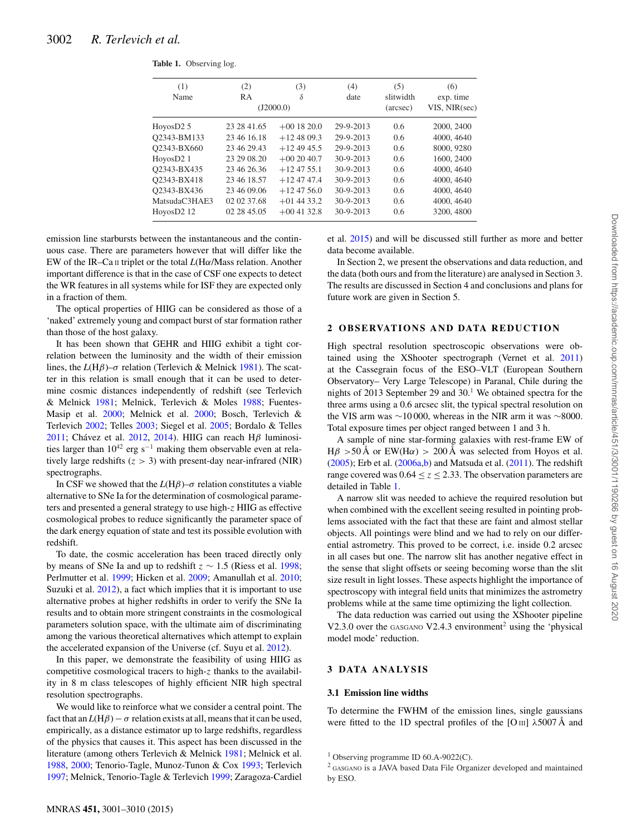<span id="page-1-0"></span>

|  | Table 1. Observing log. |  |
|--|-------------------------|--|
|--|-------------------------|--|

| (1)<br>Name   | (2)<br><b>RA</b> | (3)<br>δ<br>(J2000.0) | (4)<br>date | (5)<br>slitwidth<br>(arcsec) | (6)<br>exp. time<br>VIS, NIR(sec) |  |
|---------------|------------------|-----------------------|-------------|------------------------------|-----------------------------------|--|
| HoyosD2 5     | 23 28 41.65      | $+001820.0$           | 29-9-2013   | $0.6^{\circ}$                | 2000, 2400                        |  |
| O2343-BM133   | 23 46 16 18      | $+124809.3$           | 29-9-2013   | 0.6                          | 4000, 4640                        |  |
| Q2343-BX660   | 23 46 29.43      | $+124945.5$           | 29-9-2013   | 0.6                          | 8000, 9280                        |  |
| HoyosD2 1     | 23 29 08.20      | $+002040.7$           | $30-9-2013$ | 0.6                          | 1600, 2400                        |  |
| O2343-BX435   | 23 46 26.36      | $+124755.1$           | $30-9-2013$ | 0.6                          | 4000, 4640                        |  |
| O2343-BX418   | 23 46 18.57      | $+124747.4$           | $30-9-2013$ | 0.6                          | 4000, 4640                        |  |
| O2343-BX436   | 23 46 09 06      | $+124756.0$           | $30-9-2013$ | 0.6                          | 4000, 4640                        |  |
| MatsudaC3HAE3 | 02 02 37.68      | $+01$ 44 33.2         | $30-9-2013$ | 0.6                          | 4000, 4640                        |  |
| HoyosD2 12    | 02 28 45.05      | $+00$ 41 32.8         | $30-9-2013$ | 0.6                          | 3200, 4800                        |  |
|               |                  |                       |             |                              |                                   |  |

emission line starbursts between the instantaneous and the continuous case. There are parameters however that will differ like the EW of the IR–Ca II triplet or the total *L*(Hα/Mass relation. Another important difference is that in the case of CSF one expects to detect the WR features in all systems while for ISF they are expected only in a fraction of them.

The optical properties of HIIG can be considered as those of a 'naked' extremely young and compact burst of star formation rather than those of the host galaxy.

It has been shown that GEHR and HIIG exhibit a tight correlation between the luminosity and the width of their emission lines, the *L*(Hβ)–σ relation (Terlevich & Melnick [1981\)](#page-9-5). The scatter in this relation is small enough that it can be used to determine cosmic distances independently of redshift (see Terlevich & Melnick [1981;](#page-9-5) Melnick, Terlevich & Moles [1988;](#page-9-6) Fuentes-Masip et al. [2000;](#page-9-7) Melnick et al. [2000;](#page-9-2) Bosch, Terlevich & Terlevich [2002;](#page-8-0) Telles [2003;](#page-9-8) Siegel et al. [2005;](#page-9-9) Bordalo & Telles [2011;](#page-8-1) Chávez et al. [2012,](#page-8-2) [2014\)](#page-9-3). HIIG can reach H $\beta$  luminosities larger than  $10^{42}$  erg s<sup>-1</sup> making them observable even at relatively large redshifts  $(z > 3)$  with present-day near-infrared (NIR) spectrographs.

In CSF we showed that the  $L(H\beta)-\sigma$  relation constitutes a viable alternative to SNe Ia for the determination of cosmological parameters and presented a general strategy to use high-z HIIG as effective cosmological probes to reduce significantly the parameter space of the dark energy equation of state and test its possible evolution with redshift.

To date, the cosmic acceleration has been traced directly only by means of SNe Ia and up to redshift  $z \sim 1.5$  (Riess et al. [1998;](#page-9-10) Perlmutter et al. [1999;](#page-9-11) Hicken et al. [2009;](#page-9-12) Amanullah et al. [2010;](#page-8-3) Suzuki et al. [2012\)](#page-9-13), a fact which implies that it is important to use alternative probes at higher redshifts in order to verify the SNe Ia results and to obtain more stringent constraints in the cosmological parameters solution space, with the ultimate aim of discriminating among the various theoretical alternatives which attempt to explain the accelerated expansion of the Universe (cf. Suyu et al. [2012\)](#page-9-14).

In this paper, we demonstrate the feasibility of using HIIG as competitive cosmological tracers to high-z thanks to the availability in 8 m class telescopes of highly efficient NIR high spectral resolution spectrographs.

We would like to reinforce what we consider a central point. The fact that an  $L(H\beta) - \sigma$  relation exists at all, means that it can be used, empirically, as a distance estimator up to large redshifts, regardless of the physics that causes it. This aspect has been discussed in the literature (among others Terlevich & Melnick [1981;](#page-9-5) Melnick et al. [1988,](#page-9-6) [2000;](#page-9-2) Tenorio-Tagle, Munoz-Tunon & Cox [1993;](#page-9-15) Terlevich [1997;](#page-9-16) Melnick, Tenorio-Tagle & Terlevich [1999;](#page-9-17) Zaragoza-Cardiel et al. [2015\)](#page-9-18) and will be discussed still further as more and better data become available.

In Section 2, we present the observations and data reduction, and the data (both ours and from the literature) are analysed in Section 3. The results are discussed in Section 4 and conclusions and plans for future work are given in Section 5.

#### **2 OBSERVATIONS AND DATA REDUCTION**

High spectral resolution spectroscopic observations were obtained using the XShooter spectrograph (Vernet et al. [2011\)](#page-9-19) at the Cassegrain focus of the ESO–VLT (European Southern Observatory– Very Large Telescope) in Paranal, Chile during the nights of 2013 September 29 and  $30<sup>1</sup>$  We obtained spectra for the three arms using a 0.6 arcsec slit, the typical spectral resolution on the VIS arm was ∼10 000, whereas in the NIR arm it was ∼8000. Total exposure times per object ranged between 1 and 3 h.

A sample of nine star-forming galaxies with rest-frame EW of  $H\beta > 50 \text{ Å}$  or EW(H $\alpha$ ) > 200 Å was selected from Hoyos et al.  $(2005)$ ; Erb et al.  $(2006a,b)$  $(2006a,b)$  and Matsuda et al.  $(2011)$ . The redshift range covered was  $0.64 \le z \le 2.33$ . The observation parameters are detailed in Table [1.](#page-1-0)

A narrow slit was needed to achieve the required resolution but when combined with the excellent seeing resulted in pointing problems associated with the fact that these are faint and almost stellar objects. All pointings were blind and we had to rely on our differential astrometry. This proved to be correct, i.e. inside 0.2 arcsec in all cases but one. The narrow slit has another negative effect in the sense that slight offsets or seeing becoming worse than the slit size result in light losses. These aspects highlight the importance of spectroscopy with integral field units that minimizes the astrometry problems while at the same time optimizing the light collection.

The data reduction was carried out using the XShooter pipeline V2.3.0 over the GASGANO V2.4.3 environment<sup>2</sup> using the 'physical model mode' reduction.

#### **3 DATA ANALYSIS**

#### **3.1 Emission line widths**

To determine the FWHM of the emission lines, single gaussians were fitted to the 1D spectral profiles of the [O III]  $\lambda$ 5007 Å and

<sup>&</sup>lt;sup>1</sup> Observing programme ID 60.A-9022(C).

<sup>2</sup> GASGANO is a JAVA based Data File Organizer developed and maintained by ESO.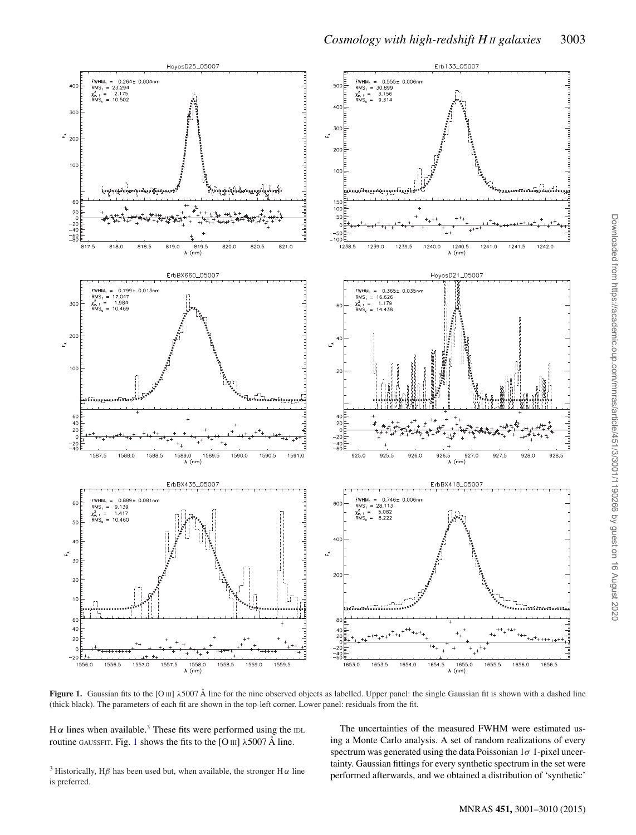<span id="page-2-0"></span>

*Cosmology with high-redshift H II galaxies* 3003

**Figure 1.** Gaussian fits to the [O III]  $\lambda$  5007 Å line for the nine observed objects as labelled. Upper panel: the single Gaussian fit is shown with a dashed line (thick black). The parameters of each fit are shown in the top-left corner. Lower panel: residuals from the fit.

Hα lines when available.<sup>3</sup> These fits were performed using the IDL routine GAUSSFIT. Fig. [1](#page-2-0) shows the fits to the [O  $\text{III}$ ]  $\lambda$ 5007 Å line.

The uncertainties of the measured FWHM were estimated using a Monte Carlo analysis. A set of random realizations of every spectrum was generated using the data Poissonian  $1\sigma$  1-pixel uncertainty. Gaussian fittings for every synthetic spectrum in the set were performed afterwards, and we obtained a distribution of 'synthetic'

<sup>3</sup> Historically, H $\beta$  has been used but, when available, the stronger H $\alpha$  line is preferred.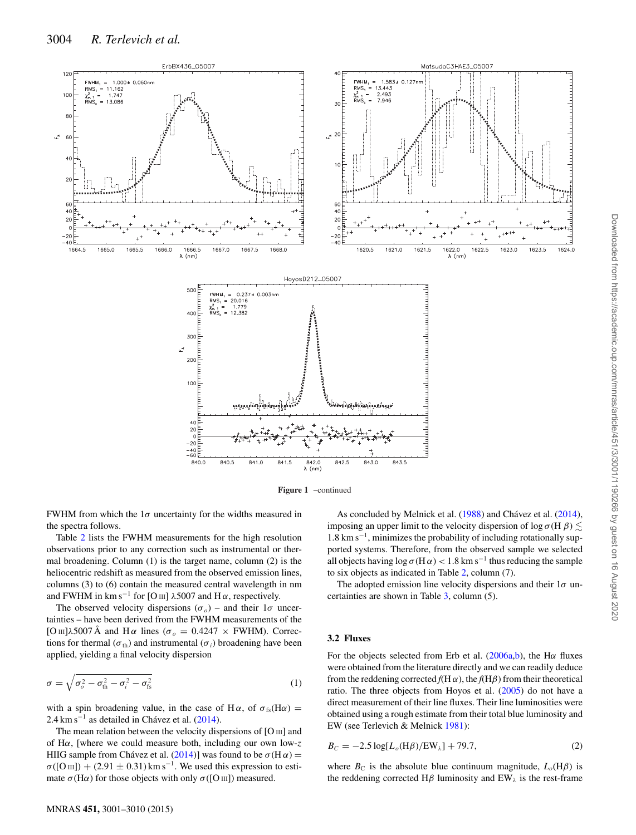<span id="page-3-0"></span>



FWHM from which the  $1\sigma$  uncertainty for the widths measured in the spectra follows.

Table [2](#page-4-0) lists the FWHM measurements for the high resolution observations prior to any correction such as instrumental or thermal broadening. Column (1) is the target name, column (2) is the heliocentric redshift as measured from the observed emission lines, columns (3) to (6) contain the measured central wavelength in nm and FWHM in km s<sup>-1</sup> for [O III]  $\lambda$ 5007 and H $\alpha$ , respectively.

The observed velocity dispersions  $(\sigma_o)$  – and their  $1\sigma$  uncertainties – have been derived from the FWHM measurements of the [O III] $\lambda$ 5007 Å and H  $\alpha$  lines ( $\sigma$ <sub>o</sub> = 0.4247  $\times$  FWHM). Corrections for thermal ( $\sigma_{th}$ ) and instrumental ( $\sigma_i$ ) broadening have been applied, yielding a final velocity dispersion

$$
\sigma = \sqrt{\sigma_o^2 - \sigma_{\text{th}}^2 - \sigma_i^2 - \sigma_{\text{fs}}^2}
$$
 (1)

with a spin broadening value, in the case of H $\alpha$ , of  $\sigma_{fs}(H\alpha)$  =  $2.4 \text{ km s}^{-1}$  as detailed in Chávez et al. ([2014\)](#page-9-3).

The mean relation between the velocity dispersions of [O III] and of H $\alpha$ , [where we could measure both, including our own low-z HIIG sample from Chávez et al. ([2014\)](#page-9-3)] was found to be  $\sigma$ (H $\alpha$ ) =  $\sigma([O\,{\rm III}]) + (2.91 \pm 0.31)\,\text{km}\,\text{s}^{-1}$ . We used this expression to estimate  $\sigma$ (H $\alpha$ ) for those objects with only  $\sigma$ ([O III]) measured.

# As concluded by Melnick et al. [\(1988\)](#page-9-6) and Chávez et al. ([2014\)](#page-9-3), imposing an upper limit to the velocity dispersion of log  $\sigma$ (H  $\beta$ )  $\lesssim$ 1.8 km s<sup>−</sup>1, minimizes the probability of including rotationally supported systems. Therefore, from the observed sample we selected all objects having  $\log \sigma(H\alpha) < 1.8$  km s<sup>-1</sup> thus reducing the sample to six objects as indicated in Table [2,](#page-4-0) column (7).

The adopted emission line velocity dispersions and their  $1\sigma$  uncertainties are shown in Table [3,](#page-4-1) column (5).

#### **3.2 Fluxes**

For the objects selected from Erb et al.  $(2006a,b)$  $(2006a,b)$ , the H $\alpha$  fluxes were obtained from the literature directly and we can readily deduce from the reddening corrected  $f(H\alpha)$ , the  $f(H\beta)$  from their theoretical ratio. The three objects from Hoyos et al. [\(2005\)](#page-9-20) do not have a direct measurement of their line fluxes. Their line luminosities were obtained using a rough estimate from their total blue luminosity and EW (see Terlevich & Melnick [1981\)](#page-9-5):

$$
B_C = -2.5 \log[L_o(H\beta)/EW_{\lambda}] + 79.7,
$$
 (2)

where  $B_C$  is the absolute blue continuum magnitude,  $L_o(H\beta)$  is the reddening corrected H $\beta$  luminosity and EW<sub> $\lambda$ </sub> is the rest-frame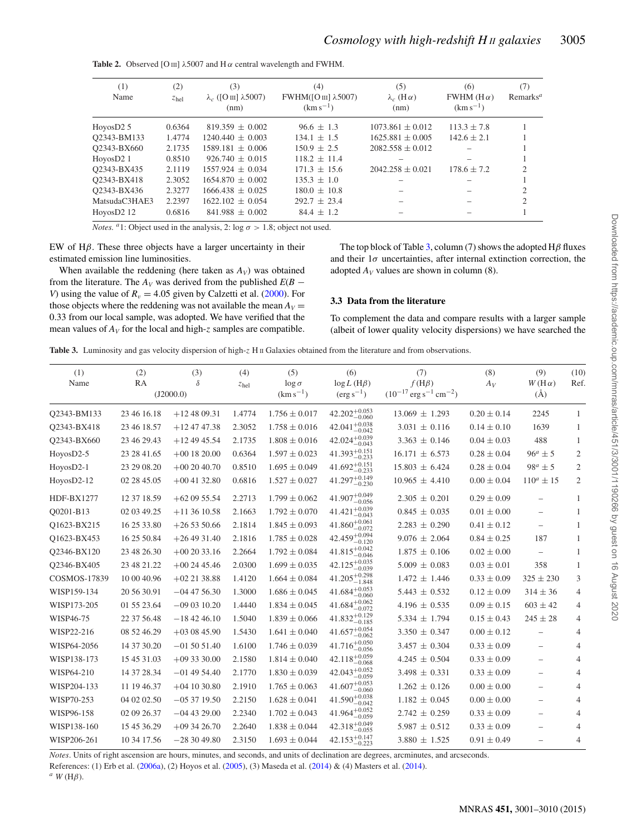| (1)<br>Name           | (2)<br>z <sub>hel</sub> | (3)<br>$\lambda_c$ ([O III] $\lambda$ 5007)<br>(nm) | (4)<br>FWHM( $[OIII]$ $\lambda$ 5007)<br>$(km s^{-1})$ | (5)<br>$\lambda_c$ (H $\alpha$ )<br>(nm) | (6)<br>FWHM ( $H\alpha$ )<br>$(km s^{-1})$ | (7)<br>Remarks <sup>a</sup> |
|-----------------------|-------------------------|-----------------------------------------------------|--------------------------------------------------------|------------------------------------------|--------------------------------------------|-----------------------------|
| HoyosD2 $5$           | 0.6364                  | $819.359 \pm 0.002$                                 | $96.6 \pm 1.3$                                         | $1073.861 + 0.012$                       | $113.3 \pm 7.8$                            |                             |
| Q2343-BM133           | 1.4774                  | $1240.440 \pm 0.003$                                | $134.1 \pm 1.5$                                        | $1625.881 \pm 0.005$                     | $142.6 \pm 2.1$                            |                             |
| O2343-BX660           | 2.1735                  | $1589.181 + 0.006$                                  | $150.9 \pm 2.5$                                        | $2082.558 + 0.012$                       |                                            |                             |
| HoyosD <sub>2</sub> 1 | 0.8510                  | $926.740 + 0.015$                                   | $118.2 \pm 11.4$                                       |                                          |                                            |                             |
| O2343-BX435           | 2.1119                  | $1557.924 + 0.034$                                  | $171.3 \pm 15.6$                                       | $2042.258 + 0.021$                       | $178.6 \pm 7.2$                            | $\mathcal{D}_{\mathcal{L}}$ |
| Q2343-BX418           | 2.3052                  | $1654.870 + 0.002$                                  | $135.3 \pm 1.0$                                        |                                          |                                            |                             |
| O2343-BX436           | 2.3277                  | $1666.438 + 0.025$                                  | $180.0 \pm 10.8$                                       |                                          |                                            | 2                           |
| MatsudaC3HAE3         | 2.2397                  | $1622.102 + 0.054$                                  | $292.7 + 23.4$                                         |                                          |                                            | $\mathfrak{D}$              |
| HoyosD2 12            | 0.6816                  | $841.988 \pm 0.002$                                 | $84.4 \pm 1.2$                                         |                                          |                                            |                             |

<span id="page-4-0"></span>**Table 2.** Observed [O  $\text{III}$ ]  $\lambda$ 5007 and H  $\alpha$  central wavelength and FWHM.

*Notes.* <sup>*a*</sup>1: Object used in the analysis, 2: log  $\sigma > 1.8$ ; object not used.

EW of  $H\beta$ . These three objects have a larger uncertainty in their estimated emission line luminosities.

When available the reddening (here taken as  $A_V$ ) was obtained from the literature. The  $A_V$  was derived from the published  $E(B -$ *V*) using the value of  $R_v = 4.05$  given by Calzetti et al. [\(2000\)](#page-8-4). For those objects where the reddening was not available the mean  $A_V =$ 0.33 from our local sample, was adopted. We have verified that the mean values of  $A_V$  for the local and high-z samples are compatible.

The top block of Table [3,](#page-4-1) column (7) shows the adopted  $H\beta$  fluxes and their  $1\sigma$  uncertainties, after internal extinction correction, the adopted  $A_V$  values are shown in column (8)[.](#page-5-0)

#### **3.3 Data from the literature**

To complement the data and compare results with a larger sample (albeit of lower quality velocity dispersions) we have searched the

<span id="page-4-1"></span>Table 3. Luminosity and gas velocity dispersion of high-z H II Galaxies obtained from the literature and from observations.

| (1)<br>Name       | (2)<br>RA   | (3)<br>δ<br>(J2000.0) | (4)<br>z <sub>hel</sub> | (5)<br>$\log \sigma$<br>$(km s^{-1})$ | (6)<br>$\log L$ (H $\beta$ )<br>$(\text{erg}\,\text{s}^{-1})$ | (7)<br>$f(H\beta)$<br>$(10^{-17} \text{ erg s}^{-1} \text{ cm}^{-2})$ | (8)<br>$A_V$    | (9)<br>$W(H\alpha)$<br>$(\AA)$ | (10)<br>Ref.   |
|-------------------|-------------|-----------------------|-------------------------|---------------------------------------|---------------------------------------------------------------|-----------------------------------------------------------------------|-----------------|--------------------------------|----------------|
| Q2343-BM133       | 23 46 16.18 | $+124809.31$          | 1.4774                  | $1.756 \pm 0.017$                     | 42.202 $^{+0.053}_{-0.060}$                                   | $13.069 \pm 1.293$                                                    | $0.20 \pm 0.14$ | 2245                           | $\mathbf{1}$   |
| Q2343-BX418       | 23 46 18.57 | $+124747.38$          | 2.3052                  | $1.758 \pm 0.016$                     | $42.041^{+0.038}_{-0.012}$<br>$-0.042$                        | $3.031 \pm 0.116$                                                     | $0.14 \pm 0.10$ | 1639                           | 1              |
| Q2343-BX660       | 23 46 29.43 | $+124945.54$          | 2.1735                  | $1.808 \pm 0.016$                     | $42.024_{-0.043}^{+0.039}$                                    | $3.363 \pm 0.146$                                                     | $0.04 \pm 0.03$ | 488                            | 1              |
| HoyosD2-5         | 23 28 41.65 | $+00$ 18 20.00        | 0.6364                  | $1.597 \pm 0.023$                     | $41.393^{+0.151}_{-0.222}$<br>$-0.233$                        | $16.171 \pm 6.573$                                                    | $0.28 \pm 0.04$ | $96^a \pm 5$                   | $\overline{c}$ |
| HoyosD2-1         | 23 29 08.20 | $+002040.70$          | 0.8510                  | $1.695 \pm 0.049$                     | $41.692_{-0.233}^{+0.151}$                                    | $15.803 \pm 6.424$                                                    | $0.28 \pm 0.04$ | $98^a \pm 5$                   | $\overline{c}$ |
| HoyosD2-12        | 02 28 45.05 | $+00$ 41 32.80        | 0.6816                  | $1.527 \pm 0.027$                     | $41.297^{+0.149}_{-0.230}$                                    | $10.965 \pm 4.410$                                                    | $0.00 \pm 0.04$ | $110^a \pm 15$                 | $\overline{c}$ |
| <b>HDF-BX1277</b> | 12 37 18.59 | $+620955.54$          | 2.2713                  | $1.799 \pm 0.062$                     | $41.907^{+0.049}$<br>$-0.056$                                 | $2.305 \pm 0.201$                                                     | $0.29 \pm 0.09$ | $\overline{\phantom{0}}$       | 1              |
| Q0201-B13         | 02 03 49.25 | $+113610.58$          | 2.1663                  | $1.792 \pm 0.070$                     | $41.421^{+0.039}_{-0.043}$                                    | $0.845 \pm 0.035$                                                     | $0.01 \pm 0.00$ |                                | 1              |
| Q1623-BX215       | 16 25 33.80 | $+265350.66$          | 2.1814                  | $1.845 \pm 0.093$                     | $41.860^{+0.061}_{-0.072}$                                    | $2.283 \pm 0.290$                                                     | $0.41 \pm 0.12$ | $\overline{\phantom{0}}$       | 1              |
| Q1623-BX453       | 16 25 50.84 | $+264931.40$          | 2.1816                  | $1.785 \pm 0.028$                     | $42.459^{+0.094}_{-0.122}$<br>$-0.120$                        | $9.076 \pm 2.064$                                                     | $0.84 \pm 0.25$ | 187                            | 1              |
| Q2346-BX120       | 23 48 26.30 | $+002033.16$          | 2.2664                  | $1.792 \pm 0.084$                     | $41.815^{+0.042}_{-0.017}$<br>$-0.046$                        | $1.875 \pm 0.106$                                                     | $0.02 \pm 0.00$ | $\overline{\phantom{0}}$       | 1              |
| Q2346-BX405       | 23 48 21.22 | $+002445.46$          | 2.0300                  | $1.699 \pm 0.035$                     | 42.125 <sup>+0.035</sup><br>$-0.039$                          | $5.009 \pm 0.083$                                                     | $0.03 \pm 0.01$ | 358                            | 1              |
| COSMOS-17839      | 10 00 40.96 | $+022138.88$          | 1.4120                  | $1.664 \pm 0.084$                     | $41.205^{+0.298}_{-0.019}$<br>$-1.848$                        | $1.472 \pm 1.446$                                                     | $0.33 \pm 0.09$ | $325 \pm 230$                  | 3              |
| WISP159-134       | 20 56 30.91 | $-04$ 47 56.30        | 1.3000                  | $1.686 \pm 0.045$                     | $41.684^{+0.053}_{-0.060}$                                    | $5.443 \pm 0.532$                                                     | $0.12 \pm 0.09$ | $314 \pm 36$                   | $\overline{4}$ |
| WISP173-205       | 01 55 23.64 | $-090310.20$          | 1.4440                  | $1.834 \pm 0.045$                     | $41.684^{+0.062}_{-0.072}$                                    | $4.196 \pm 0.535$                                                     | $0.09 \pm 0.15$ | $603 \pm 42$                   | 4              |
| WISP46-75         | 22 37 56.48 | $-184246.10$          | 1.5040                  | $1.839 \pm 0.066$                     | $41.832^{+0.129}$<br>$-0.185$                                 | $5.334 \pm 1.794$                                                     | $0.15 \pm 0.43$ | $245 \pm 28$                   | 4              |
| WISP22-216        | 08 52 46.29 | $+030845.90$          | 1.5430                  | $1.641 \pm 0.040$                     | $41.657^{+0.054}_{-0.052}$<br>$-0.062$                        | $3.350 \pm 0.347$                                                     | $0.00\pm0.12$   | $\overline{\phantom{0}}$       | 4              |
| WISP64-2056       | 14 37 30.20 | $-015051.40$          | 1.6100                  | $1.746 \pm 0.039$                     | $41.716^{+0.050}_{-0.055}$<br>$-0.056$                        | $3.457 \pm 0.304$                                                     | $0.33 \pm 0.09$ |                                | 4              |
| WISP138-173       | 15 45 31.03 | $+093330.00$          | 2.1580                  | $1.814 \pm 0.040$                     | 42.118 <sup>+0.059</sup><br>$-0.068$                          | $4.245 \pm 0.504$                                                     | $0.33 \pm 0.09$ | $\overline{\phantom{0}}$       | $\overline{4}$ |
| WISP64-210        | 14 37 28.34 | $-01$ 49 54.40        | 2.1770                  | $1.830 \pm 0.039$                     | $42.043^{+0.052}_{-0.052}$<br>$-0.059$                        | $3.498 \pm 0.331$                                                     | $0.33 \pm 0.09$ |                                | $\overline{4}$ |
| WISP204-133       | 11 19 46.37 | $+04$ 10 30.80        | 2.1910                  | $1.765 \pm 0.063$                     | $41.607^{+0.053}_{-0.053}$<br>$-0.060$                        | $1.262 \pm 0.126$                                                     | $0.00 \pm 0.00$ | $\overline{\phantom{0}}$       | $\overline{4}$ |
| WISP70-253        | 04 02 02.50 | $-053719.50$          | 2.2150                  | $1.628 \pm 0.041$                     | $41.590^{+0.038}_{-0.012}$<br>$-0.042$                        | $1.182 \pm 0.045$                                                     | $0.00 \pm 0.00$ | $\overline{\phantom{0}}$       | 4              |
| WISP96-158        | 02 09 26.37 | $-04$ 43 29.00        | 2.2340                  | $1.702 \pm 0.043$                     | $41.964^{+0.052}_{-0.052}$<br>$-0.059$                        | $2.742 \pm 0.259$                                                     | $0.33 \pm 0.09$ |                                | 4              |
| WISP138-160       | 15 45 36.29 | $+093426.70$          | 2.2640                  | $1.838 \pm 0.044$                     | $42.318^{+0.049}_{-0.055}$                                    | $5.987 \pm 0.512$                                                     | $0.33 \pm 0.09$ |                                | $\overline{4}$ |
| WISP206-261       | 10 34 17.56 | $-283049.80$          | 2.3150                  | $1.693 \pm 0.044$                     | $42.153^{+0.147}_{-0.223}$                                    | $3.880 \pm 1.525$                                                     | $0.91 \pm 0.49$ |                                | 4              |
|                   |             |                       |                         |                                       |                                                               |                                                                       |                 |                                |                |

*Notes*. Units of right ascension are hours, minutes, and seconds, and units of declination are degrees, arcminutes, and arcseconds.

References: (1) Erb et al. [\(2006a\)](#page-9-21), (2) Hoyos et al. [\(2005\)](#page-9-20), (3) Maseda et al. [\(2014\)](#page-9-24) & (4) Masters et al. [\(2014\)](#page-9-25).  $^{a}$  *W* (H $\beta$ ).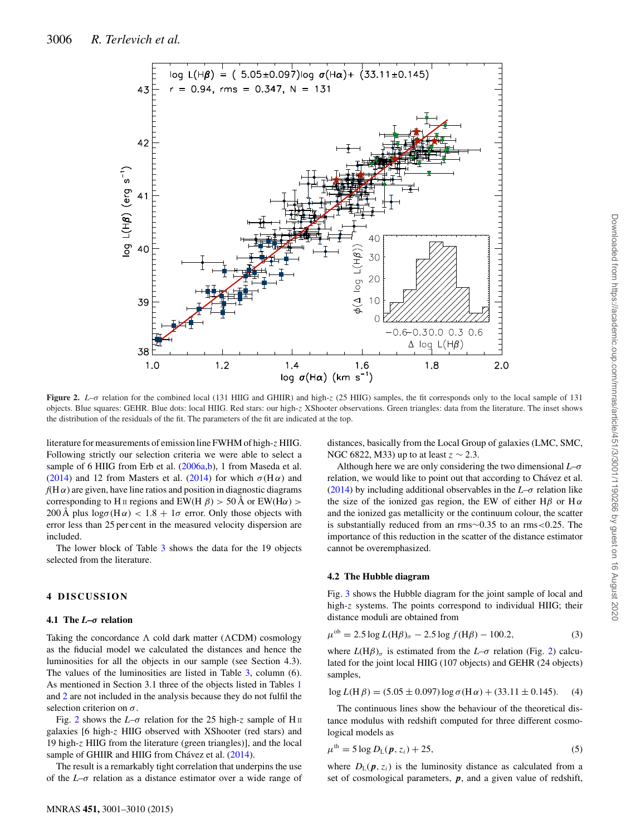<span id="page-5-0"></span>

**Figure 2.** *L*–σ relation for the combined local (131 HIIG and GHIIR) and high-z (25 HIIG) samples, the fit corresponds only to the local sample of 131 objects. Blue squares: GEHR. Blue dots: local HIIG. Red stars: our high-z XShooter observations. Green triangles: data from the literature. The inset shows the distribution of the residuals of the fit. The parameters of the fit are indicated at the top.

literature for measurements of emission line FWHM of high-z HIIG. Following strictly our selection criteria we were able to select a sample of 6 HIIG from Erb et al. [\(2006a](#page-9-21)[,b\)](#page-9-22), 1 from Maseda et al. [\(2014\)](#page-9-25) and 12 from Masters et al. (2014) for which  $\sigma(H\alpha)$  and  $f(H\alpha)$  are given, have line ratios and position in diagnostic diagrams corresponding to H II regions and EW(H  $\beta$ ) > 50 Å or EW(H $\alpha$ ) > 200 Å plus  $\log \sigma(H\alpha)$  < 1.8 + 1 $\sigma$  error. Only those objects with error less than 25 per cent in the measured velocity dispersion are included.

The lower block of Table [3](#page-4-1) shows the data for the 19 objects selected from the literature.

## **4 DISCUSSION**

#### **4.1 The** *L***–***σ* **relation**

Taking the concordance  $\Lambda$  cold dark matter ( $\Lambda$ CDM) cosmology as the fiducial model we calculated the distances and hence the luminosities for all the objects in our sample (see Section 4.3). The values of the luminosities are listed in Table [3,](#page-4-1) column (6). As mentioned in Section 3.1 three of the objects listed in Tables [1](#page-1-0) and [2](#page-4-0) are not included in the analysis because they do not fulfil the selection criterion on  $\sigma$ .

Fig. [2](#page-5-0) shows the  $L-\sigma$  relation for the 25 high-z sample of H<sub>II</sub> galaxies [6 high-z HIIG observed with XShooter (red stars) and 19 high-z HIIG from the literature (green triangles)], and the local sample of GHIIR and HIIG from Chávez et al. ([2014\)](#page-9-3).

The result is a remarkably tight correlation that underpins the use of the *L*–σ relation as a distance estimator over a wide range of

distances, basically from the Local Group of galaxies (LMC, SMC, NGC 6822, M33) up to at least  $z \sim 2.3$ .

Although here we are only considering the two dimensional *L*–σ relation, we would like to point out that according to Chávez et al. [\(2014\)](#page-9-3) by including additional observables in the  $L-\sigma$  relation like the size of the ionized gas region, the EW of either H $\beta$  or H $\alpha$ and the ionized gas metallicity or the continuum colour, the scatter is substantially reduced from an rms∼0.35 to an rms<0.25. The importance of this reduction in the scatter of the distance estimator cannot be overemphasized.

#### **4.2 The Hubble diagram**

Fig. [3](#page-6-0) shows the Hubble diagram for the joint sample of local and high-z systems. The points correspond to individual HIIG; their distance moduli are obtained from

$$
\mu^{\text{ob}} = 2.5 \log L(\text{H}\beta)_{\sigma} - 2.5 \log f(\text{H}\beta) - 100.2,\tag{3}
$$

where  $L(H\beta)_{\sigma}$  is estimated from the  $L-\sigma$  relation (Fig. [2\)](#page-5-0) calculated for the joint local HIIG (107 objects) and GEHR (24 objects) samples,

$$
\log L(\text{H }\beta) = (5.05 \pm 0.097) \log \sigma(\text{H }\alpha) + (33.11 \pm 0.145). \tag{4}
$$

The continuous lines show the behaviour of the theoretical distance modulus with redshift computed for three different cosmological models as

$$
\mu^{\text{th}} = 5 \log D_{\text{L}}(\boldsymbol{p}, z_i) + 25,\tag{5}
$$

where  $D_{\rm L}(\boldsymbol{p}, z_i)$  is the luminosity distance as calculated from a set of cosmological parameters, *p*, and a given value of redshift,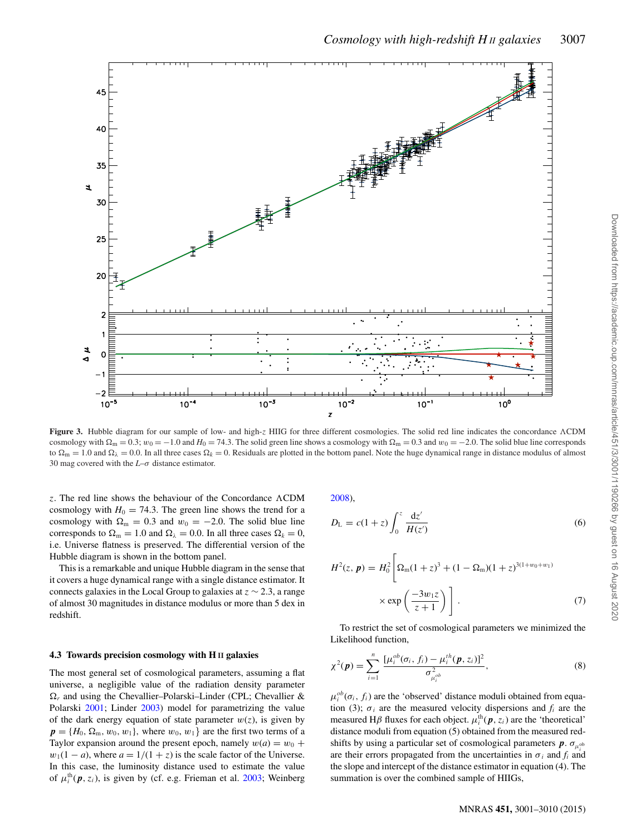<span id="page-6-0"></span>

**Figure 3.** Hubble diagram for our sample of low- and high-z HIIG for three different cosmologies. The solid red line indicates the concordance ACDM cosmology with  $\Omega_m = 0.3$ ;  $w_0 = -1.0$  and  $H_0 = 74.3$ . The solid green line shows a cosmology with  $\Omega_m = 0.3$  and  $w_0 = -2.0$ . The solid blue line corresponds to  $\Omega_{\rm m} = 1.0$  and  $\Omega_{\lambda} = 0.0$ . In all three cases  $\Omega_{k} = 0$ . Residuals are plotted in the bottom panel. Note the huge dynamical range in distance modulus of almost 30 mag covered with the *L*–σ distance estimator.

z. The red line shows the behaviour of the Concordance CDM cosmology with  $H_0 = 74.3$ . The green line shows the trend for a cosmology with  $\Omega_{\rm m} = 0.3$  and  $w_0 = -2.0$ . The solid blue line corresponds to  $\Omega_m = 1.0$  and  $\Omega_{\lambda} = 0.0$ . In all three cases  $\Omega_k = 0$ , i.e. Universe flatness is preserved. The differential version of the Hubble diagram is shown in the bottom panel.

This is a remarkable and unique Hubble diagram in the sense that it covers a huge dynamical range with a single distance estimator. It connects galaxies in the Local Group to galaxies at  $z \sim 2.3$ , a range of almost 30 magnitudes in distance modulus or more than 5 dex in redshift.

#### **4.3 Towards precision cosmology with H II galaxies**

The most general set of cosmological parameters, assuming a flat universe, a negligible value of the radiation density parameter  $\Omega_r$  and using the Chevallier–Polarski–Linder (CPL; Chevallier & Polarski [2001;](#page-9-26) Linder [2003\)](#page-9-27) model for parametrizing the value of the dark energy equation of state parameter  $w(z)$ , is given by  $p = \{H_0, \Omega_m, w_0, w_1\}$ , where  $w_0, w_1\}$  are the first two terms of a Taylor expansion around the present epoch, namely  $w(a) = w_0 +$  $w_1(1 - a)$ , where  $a = 1/(1 + z)$  is the scale factor of the Universe. In this case, the luminosity distance used to estimate the value of  $\mu_i^{\text{th}}(\boldsymbol{p}, z_i)$ , is given by (cf. e.g. Frieman et al. [2003;](#page-9-28) Weinberg [2008\)](#page-9-29),

$$
D_{\rm L} = c(1+z) \int_0^z \frac{\mathrm{d}z'}{H(z')} \tag{6}
$$

*Cosmology with high-redshift H II galaxies* 3007

$$
H^{2}(z, \mathbf{p}) = H_{0}^{2} \left[ \Omega_{m} (1+z)^{3} + (1 - \Omega_{m}) (1+z)^{3(1+w_{0}+w_{1})} \times \exp \left( \frac{-3w_{1}z}{z+1} \right) \right].
$$
 (7)

To restrict the set of cosmological parameters we minimized the Likelihood function,

$$
\chi^{2}(\boldsymbol{p}) = \sum_{i=1}^{n} \frac{[\mu_{i}^{ob}(\sigma_{i}, f_{i}) - \mu_{i}^{th}(\boldsymbol{p}, z_{i})]^{2}}{\sigma_{\mu_{i}^{ob}}^{2}},
$$
(8)

 $\mu_i^{ob}(\sigma_i, f_i)$  are the 'observed' distance moduli obtained from equation (3);  $\sigma_i$  are the measured velocity dispersions and  $f_i$  are the measured H $\beta$  fluxes for each object.  $\mu_i^{\text{th}}(\boldsymbol{p}, z_i)$  are the 'theoretical' distance moduli from equation (5) obtained from the measured redshifts by using a particular set of cosmological parameters  $p \cdot \sigma_{\mu^{ob}}$ are their errors propagated from the uncertainties in  $\sigma_i$  and  $f_i$  and the slope and intercept of the distance estimator in equation (4). The summation is over the combined sample of HIIGs,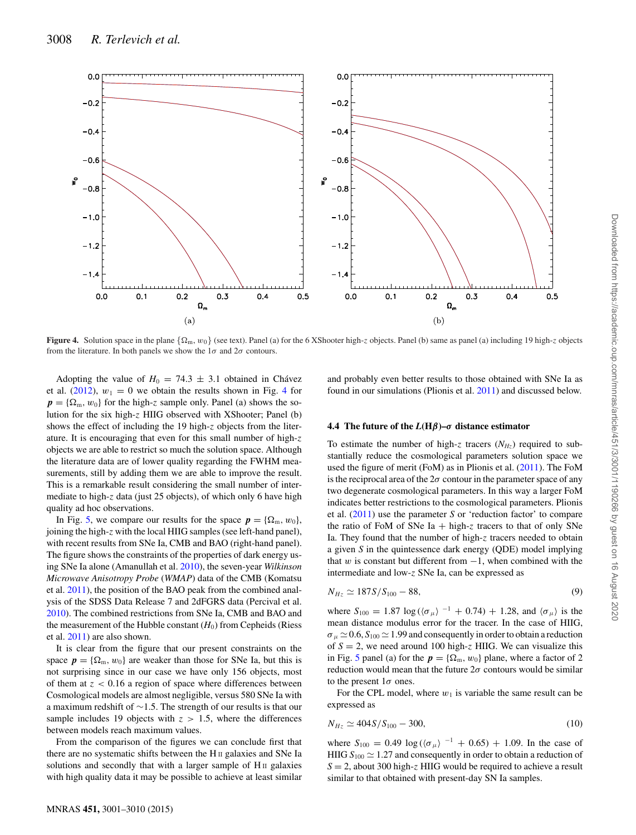<span id="page-7-0"></span>

**Figure 4.** Solution space in the plane  $\{\Omega_m, w_0\}$  (see text). Panel (a) for the 6 XShooter high-z objects. Panel (b) same as panel (a) including 19 high-z objects from the literature. In both panels we show the  $1\sigma$  and  $2\sigma$  contours.

Adopting the value of  $H_0 = 74.3 \pm 3.1$  obtained in Chávez et al. [\(2012\)](#page-8-2),  $w_1 = 0$  we obtain the results shown in Fig. [4](#page-7-0) for  $p = {\Omega_m, w_0}$  for the high-z sample only. Panel (a) shows the solution for the six high-z HIIG observed with XShooter; Panel (b) shows the effect of including the 19 high-z objects from the literature. It is encouraging that even for this small number of high-z objects we are able to restrict so much the solution space. Although the literature data are of lower quality regarding the FWHM measurements, still by adding them we are able to improve the result. This is a remarkable result considering the small number of intermediate to high-z data (just 25 objects), of which only 6 have high quality ad hoc observations.

In Fig. [5,](#page-8-5) we compare our results for the space  $p = {\Omega_m, w_0},$ joining the high-z with the local HIIG samples (see left-hand panel), with recent results from SNe Ia, CMB and BAO (right-hand panel). The figure shows the constraints of the properties of dark energy using SNe Ia alone (Amanullah et al. [2010\)](#page-8-3), the seven-year *Wilkinson Microwave Anisotropy Probe* (*WMAP*) data of the CMB (Komatsu et al. [2011\)](#page-9-30), the position of the BAO peak from the combined analysis of the SDSS Data Release 7 and 2dFGRS data (Percival et al. [2010\)](#page-9-31). The combined restrictions from SNe Ia, CMB and BAO and the measurement of the Hubble constant  $(H_0)$  from Cepheids (Riess) et al. [2011\)](#page-9-32) are also shown.

It is clear from the figure that our present constraints on the space  $p = {\Omega_m, w_0}$  are weaker than those for SNe Ia, but this is not surprising since in our case we have only 156 objects, most of them at  $z < 0.16$  a region of space where differences between Cosmological models are almost negligible, versus 580 SNe Ia with a maximum redshift of ∼1.5. The strength of our results is that our sample includes 19 objects with  $z > 1.5$ , where the differences between models reach maximum values.

From the comparison of the figures we can conclude first that there are no systematic shifts between the H II galaxies and SNe Ia solutions and secondly that with a larger sample of  $H<sub>II</sub>$  galaxies with high quality data it may be possible to achieve at least similar

and probably even better results to those obtained with SNe Ia as found in our simulations (Plionis et al. [2011\)](#page-9-33) and discussed below.

#### **4.4 The future of the** *L***(H***β***)–***σ* **distance estimator**

To estimate the number of high-z tracers  $(N_{Hz})$  required to substantially reduce the cosmological parameters solution space we used the figure of merit (FoM) as in Plionis et al. [\(2011\)](#page-9-33). The FoM is the reciprocal area of the  $2\sigma$  contour in the parameter space of any two degenerate cosmological parameters. In this way a larger FoM indicates better restrictions to the cosmological parameters. Plionis et al. [\(2011\)](#page-9-33) use the parameter *S* or 'reduction factor' to compare the ratio of FoM of SNe Ia  $+$  high-z tracers to that of only SNe Ia. They found that the number of high-z tracers needed to obtain a given *S* in the quintessence dark energy (QDE) model implying that w is constant but different from  $-1$ , when combined with the intermediate and low-z SNe Ia, can be expressed as

$$
N_{Hz} \simeq 187S/S_{100} - 88,\t\t(9)
$$

where  $S_{100} = 1.87 \log((\sigma_{\mu})^{-1} + 0.74) + 1.28$ , and  $\langle \sigma_{\mu} \rangle$  is the mean distance modulus error for the tracer. In the case of HIIG,  $\sigma_u \simeq 0.6$ ,  $S_{100} \simeq 1.99$  and consequently in order to obtain a reduction of  $S = 2$ , we need around 100 high-z HIIG. We can visualize this in Fig. [5](#page-8-5) panel (a) for the  $p = {\Omega_m, w_0}$  plane, where a factor of 2 reduction would mean that the future  $2\sigma$  contours would be similar to the present  $1\sigma$  ones.

For the CPL model, where  $w_1$  is variable the same result can be expressed as

$$
N_{Hz} \simeq 404S/S_{100} - 300,\t\t(10)
$$

where  $S_{100} = 0.49 \log((\sigma_{\mu})^{-1} + 0.65) + 1.09$ . In the case of HIIG  $S_{100} \simeq 1.27$  and consequently in order to obtain a reduction of  $S = 2$ , about 300 high-z HIIG would be required to achieve a result similar to that obtained with present-day SN Ia samples.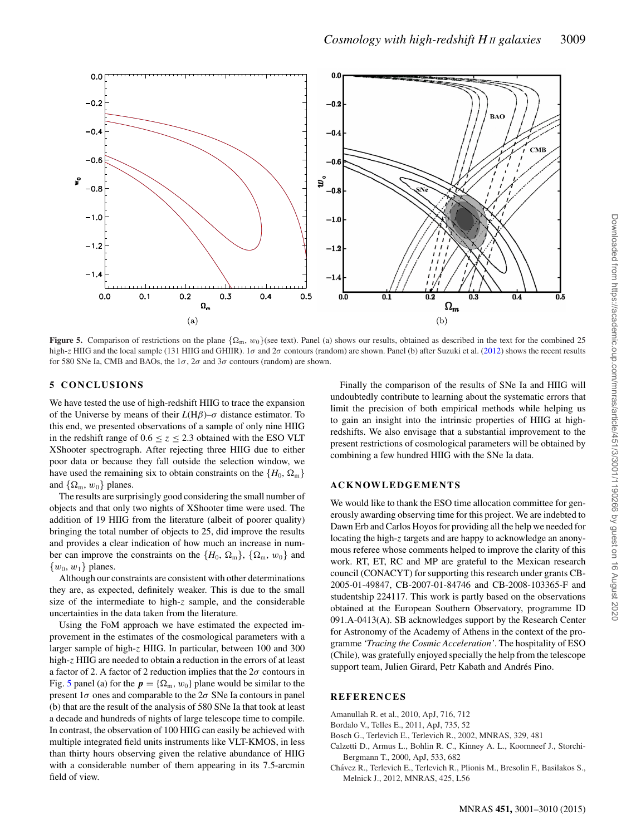<span id="page-8-5"></span>

**Figure 5.** Comparison of restrictions on the plane  $\{\Omega_m, w_0\}$  (see text). Panel (a) shows our results, obtained as described in the text for the combined 25 high-z HIIG and the local sample (131 HIIG and GHIIR). 1 $\sigma$  and  $2\sigma$  contours (random) are shown. Panel (b) after Suzuki et al. [\(2012\)](#page-9-13) shows the recent results for 580 SNe Ia, CMB and BAOs, the  $1\sigma$ ,  $2\sigma$  and  $3\sigma$  contours (random) are shown.

# **5 CONCLUSIONS**

We have tested the use of high-redshift HIIG to trace the expansion of the Universe by means of their *L*(Hβ)–σ distance estimator. To this end, we presented observations of a sample of only nine HIIG in the redshift range of  $0.6 \le z \le 2.3$  obtained with the ESO VLT XShooter spectrograph. After rejecting three HIIG due to either poor data or because they fall outside the selection window, we have used the remaining six to obtain constraints on the  $\{H_0, \Omega_m\}$ and  $\{\Omega_{\rm m}, w_0\}$  planes.

The results are surprisingly good considering the small number of objects and that only two nights of XShooter time were used. The addition of 19 HIIG from the literature (albeit of poorer quality) bringing the total number of objects to 25, did improve the results and provides a clear indication of how much an increase in number can improve the constraints on the  $\{H_0, \Omega_m\}$ ,  $\{\Omega_m, w_0\}$  and  $\{w_0, w_1\}$  planes.

Although our constraints are consistent with other determinations they are, as expected, definitely weaker. This is due to the small size of the intermediate to high-z sample, and the considerable uncertainties in the data taken from the literature.

Using the FoM approach we have estimated the expected improvement in the estimates of the cosmological parameters with a larger sample of high-z HIIG. In particular, between 100 and 300 high-z HIIG are needed to obtain a reduction in the errors of at least a factor of 2. A factor of 2 reduction implies that the  $2\sigma$  contours in Fig. [5](#page-8-5) panel (a) for the  $p = {\Omega_m, w_0}$  plane would be similar to the present  $1\sigma$  ones and comparable to the  $2\sigma$  SNe Ia contours in panel (b) that are the result of the analysis of 580 SNe Ia that took at least a decade and hundreds of nights of large telescope time to compile. In contrast, the observation of 100 HIIG can easily be achieved with multiple integrated field units instruments like VLT-KMOS, in less than thirty hours observing given the relative abundance of HIIG with a considerable number of them appearing in its 7.5-arcmin field of view.

Finally the comparison of the results of SNe Ia and HIIG will undoubtedly contribute to learning about the systematic errors that limit the precision of both empirical methods while helping us to gain an insight into the intrinsic properties of HIIG at highredshifts. We also envisage that a substantial improvement to the present restrictions of cosmological parameters will be obtained by combining a few hundred HIIG with the SNe Ia data.

*Cosmology with high-redshift H II galaxies* 3009

# **ACKNOWLEDGEMENTS**

We would like to thank the ESO time allocation committee for generously awarding observing time for this project. We are indebted to Dawn Erb and Carlos Hoyos for providing all the help we needed for locating the high-z targets and are happy to acknowledge an anonymous referee whose comments helped to improve the clarity of this work. RT, ET, RC and MP are grateful to the Mexican research council (CONACYT) for supporting this research under grants CB-2005-01-49847, CB-2007-01-84746 and CB-2008-103365-F and studentship 224117. This work is partly based on the observations obtained at the European Southern Observatory, programme ID 091.A-0413(A). SB acknowledges support by the Research Center for Astronomy of the Academy of Athens in the context of the programme *'Tracing the Cosmic Acceleration'*. The hospitality of ESO (Chile), was gratefully enjoyed specially the help from the telescope support team, Julien Girard, Petr Kabath and Andrés Pino.

# **REFERENCES**

- <span id="page-8-3"></span>Amanullah R. et al., 2010, ApJ, 716, 712
- <span id="page-8-1"></span>Bordalo V., Telles E., 2011, ApJ, 735, 52
- <span id="page-8-0"></span>Bosch G., Terlevich E., Terlevich R., 2002, MNRAS, 329, 481
- <span id="page-8-4"></span>Calzetti D., Armus L., Bohlin R. C., Kinney A. L., Koornneef J., Storchi-Bergmann T., 2000, ApJ, 533, 682
- <span id="page-8-2"></span>Chavez R., Terlevich E., Terlevich R., Plionis M., Bresolin F., Basilakos S., ´ Melnick J., 2012, MNRAS, 425, L56